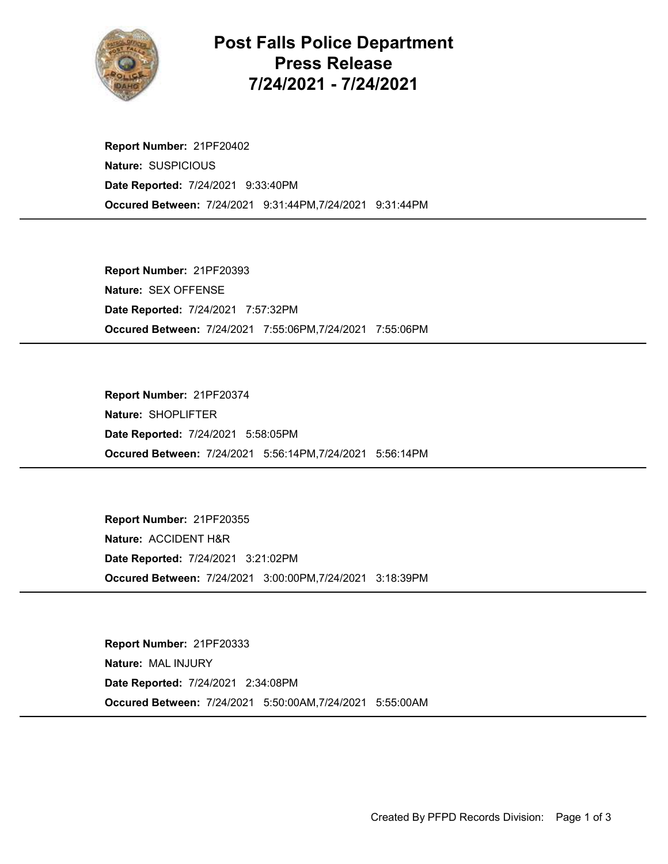

## Post Falls Police Department Press Release 7/24/2021 - 7/24/2021

Occured Between: 7/24/2021 9:31:44PM,7/24/2021 9:31:44PM Report Number: 21PF20402 Nature: SUSPICIOUS Date Reported: 7/24/2021 9:33:40PM

Occured Between: 7/24/2021 7:55:06PM,7/24/2021 7:55:06PM Report Number: 21PF20393 Nature: SEX OFFENSE Date Reported: 7/24/2021 7:57:32PM

Occured Between: 7/24/2021 5:56:14PM,7/24/2021 5:56:14PM Report Number: 21PF20374 Nature: SHOPLIFTER Date Reported: 7/24/2021 5:58:05PM

Occured Between: 7/24/2021 3:00:00PM,7/24/2021 3:18:39PM Report Number: 21PF20355 Nature: ACCIDENT H&R Date Reported: 7/24/2021 3:21:02PM

Occured Between: 7/24/2021 5:50:00AM,7/24/2021 5:55:00AM Report Number: 21PF20333 Nature: MAL INJURY Date Reported: 7/24/2021 2:34:08PM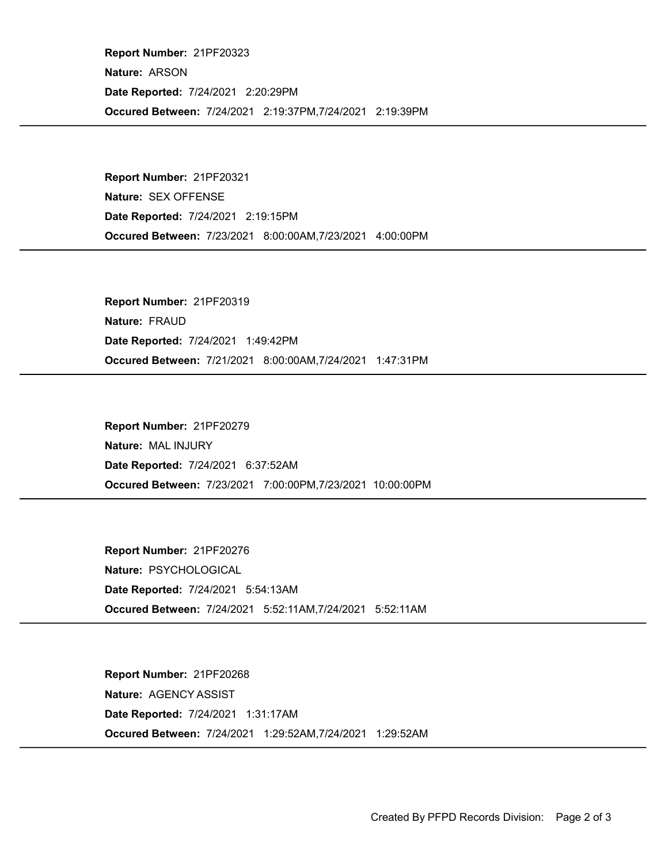Occured Between: 7/24/2021 2:19:37PM,7/24/2021 2:19:39PM Report Number: 21PF20323 Nature: ARSON Date Reported: 7/24/2021 2:20:29PM

Occured Between: 7/23/2021 8:00:00AM,7/23/2021 4:00:00PM Report Number: 21PF20321 Nature: SEX OFFENSE Date Reported: 7/24/2021 2:19:15PM

Occured Between: 7/21/2021 8:00:00AM,7/24/2021 1:47:31PM Report Number: 21PF20319 Nature: FRAUD Date Reported: 7/24/2021 1:49:42PM

Occured Between: 7/23/2021 7:00:00PM,7/23/2021 10:00:00PM Report Number: 21PF20279 Nature: MAL INJURY Date Reported: 7/24/2021 6:37:52AM

Occured Between: 7/24/2021 5:52:11AM,7/24/2021 5:52:11AM Report Number: 21PF20276 Nature: PSYCHOLOGICAL Date Reported: 7/24/2021 5:54:13AM

Occured Between: 7/24/2021 1:29:52AM,7/24/2021 1:29:52AM Report Number: 21PF20268 Nature: AGENCY ASSIST Date Reported: 7/24/2021 1:31:17AM